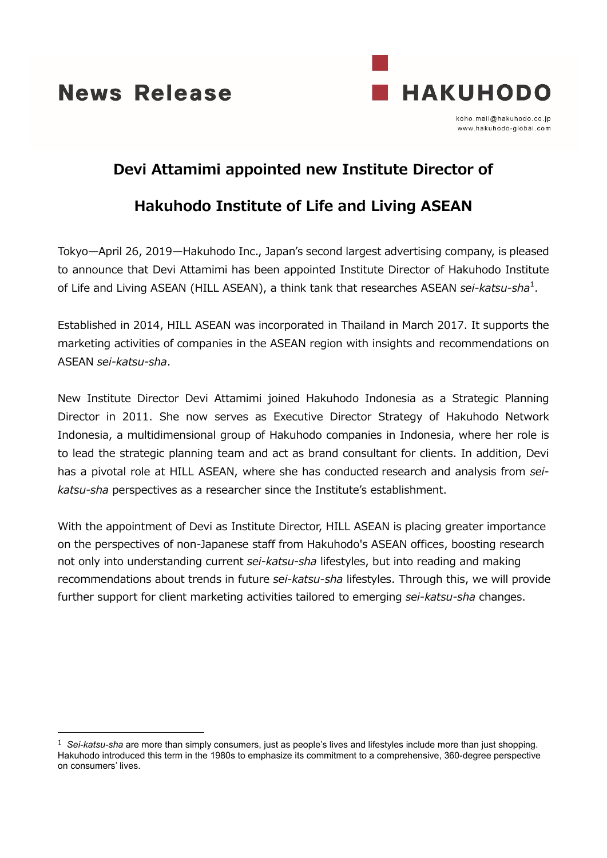**News Release** 



koho.mail@hakuhodo.co.ip www.hakuhodo-global.com

## **Devi Attamimi appointed new Institute Director of**

## **Hakuhodo Institute of Life and Living ASEAN**

Tokyo—April 26, 2019—Hakuhodo Inc., Japan's second largest advertising company, is pleased to announce that Devi Attamimi has been appointed Institute Director of Hakuhodo Institute of Life and Living ASEAN (HILL ASEAN), a think tank that researches ASEAN *sei-katsu-sha*<sup>1</sup>.

Established in 2014, HILL ASEAN was incorporated in Thailand in March 2017. It supports the marketing activities of companies in the ASEAN region with insights and recommendations on ASEAN *sei-katsu-sha*.

New Institute Director Devi Attamimi joined Hakuhodo Indonesia as a Strategic Planning Director in 2011. She now serves as Executive Director Strategy of Hakuhodo Network Indonesia, a multidimensional group of Hakuhodo companies in Indonesia, where her role is to lead the strategic planning team and act as brand consultant for clients. In addition, Devi has a pivotal role at HILL ASEAN, where she has conducted research and analysis from *seikatsu-sha* perspectives as a researcher since the Institute's establishment.

With the appointment of Devi as Institute Director, HILL ASEAN is placing greater importance on the perspectives of non-Japanese staff from Hakuhodo's ASEAN offices, boosting research not only into understanding current *sei-katsu-sha* lifestyles, but into reading and making recommendations about trends in future *sei-katsu-sha* lifestyles. Through this, we will provide further support for client marketing activities tailored to emerging *sei-katsu-sha* changes.

 <sup>1</sup> *Sei-katsu-sha* are more than simply consumers, just as people's lives and lifestyles include more than just shopping. Hakuhodo introduced this term in the 1980s to emphasize its commitment to a comprehensive, 360-degree perspective on consumers' lives.